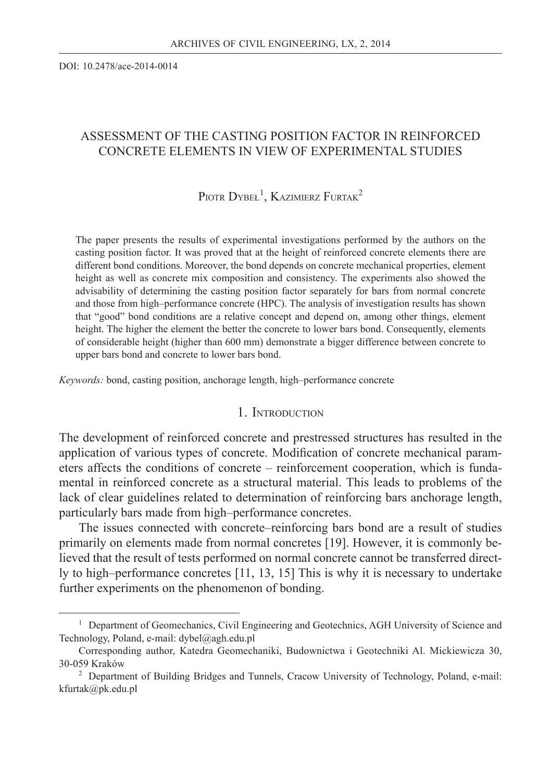DOI: 10.2478/ace-2014-0014

# ASSESSMENT OF THE CASTING POSITION FACTOR IN REINFORCED CONCRETE ELEMENTS IN VIEW OF EXPERIMENTAL STUDIES

# PIOTR DYBEŁ<sup>1</sup>, KAZIMIERZ FURTAK<sup>2</sup>

The paper presents the results of experimental investigations performed by the authors on the casting position factor. It was proved that at the height of reinforced concrete elements there are different bond conditions. Moreover, the bond depends on concrete mechanical properties, element height as well as concrete mix composition and consistency. The experiments also showed the advisability of determining the casting position factor separately for bars from normal concrete and those from high–performance concrete (HPC). The analysis of investigation results has shown that "good" bond conditions are a relative concept and depend on, among other things, element height. The higher the element the better the concrete to lower bars bond. Consequently, elements of considerable height (higher than 600 mm) demonstrate a bigger difference between concrete to upper bars bond and concrete to lower bars bond.

*Keywords:* bond, casting position, anchorage length, high–performance concrete

## 1. INTRODUCTION

The development of reinforced concrete and prestressed structures has resulted in the application of various types of concrete. Modification of concrete mechanical parameters affects the conditions of concrete – reinforcement cooperation, which is fundamental in reinforced concrete as a structural material. This leads to problems of the lack of clear guidelines related to determination of reinforcing bars anchorage length, particularly bars made from high–performance concretes.

The issues connected with concrete–reinforcing bars bond are a result of studies primarily on elements made from normal concretes [19]. However, it is commonly believed that the result of tests performed on normal concrete cannot be transferred directly to high–performance concretes [11, 13, 15] This is why it is necessary to undertake further experiments on the phenomenon of bonding.

<sup>&</sup>lt;sup>1</sup> Department of Geomechanics, Civil Engineering and Geotechnics, AGH University of Science and Technology, Poland, e-mail: dybel@agh.edu.pl

Corresponding author, Katedra Geomechaniki, Budownictwa i Geotechniki Al. Mickiewicza 30, 30-059 Kraków

<sup>&</sup>lt;sup>2</sup> Department of Building Bridges and Tunnels, Cracow University of Technology, Poland, e-mail: kfurtak@pk.edu.pl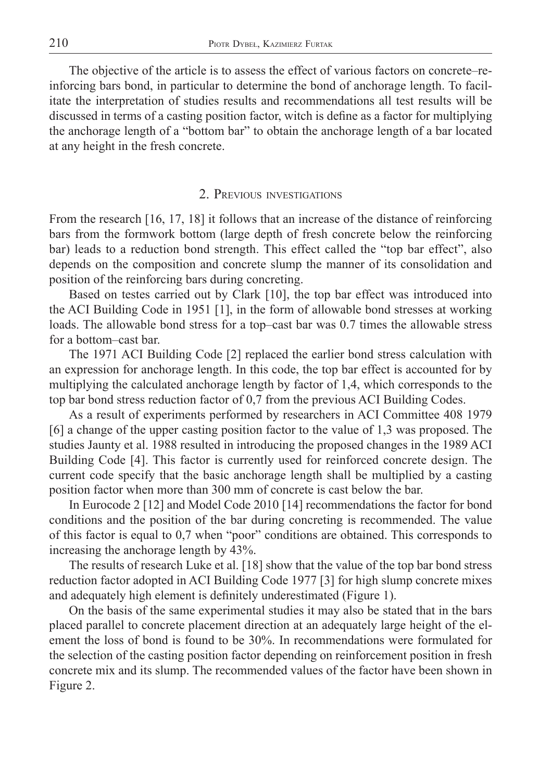The objective of the article is to assess the effect of various factors on concrete–reinforcing bars bond, in particular to determine the bond of anchorage length. To facilitate the interpretation of studies results and recommendations all test results will be discussed in terms of a casting position factor, witch is define as a factor for multiplying the anchorage length of a "bottom bar" to obtain the anchorage length of a bar located at any height in the fresh concrete.

### 2. PREVIOUS INVESTIGATIONS

From the research [16, 17, 18] it follows that an increase of the distance of reinforcing bars from the formwork bottom (large depth of fresh concrete below the reinforcing bar) leads to a reduction bond strength. This effect called the "top bar effect", also depends on the composition and concrete slump the manner of its consolidation and position of the reinforcing bars during concreting.

Based on testes carried out by Clark [10], the top bar effect was introduced into the ACI Building Code in 1951 [1], in the form of allowable bond stresses at working loads. The allowable bond stress for a top–cast bar was 0.7 times the allowable stress for a bottom–cast bar.

The 1971 ACI Building Code [2] replaced the earlier bond stress calculation with an expression for anchorage length. In this code, the top bar effect is accounted for by multiplying the calculated anchorage length by factor of 1,4, which corresponds to the top bar bond stress reduction factor of 0,7 from the previous ACI Building Codes.

As a result of experiments performed by researchers in ACI Committee 408 1979 [6] a change of the upper casting position factor to the value of 1,3 was proposed. The studies Jaunty et al. 1988 resulted in introducing the proposed changes in the 1989 ACI Building Code [4]. This factor is currently used for reinforced concrete design. The current code specify that the basic anchorage length shall be multiplied by a casting position factor when more than 300 mm of concrete is cast below the bar.

In Eurocode 2 [12] and Model Code 2010 [14] recommendations the factor for bond conditions and the position of the bar during concreting is recommended. The value of this factor is equal to 0,7 when "poor" conditions are obtained. This corresponds to increasing the anchorage length by 43%.

The results of research Luke et al. [18] show that the value of the top bar bond stress reduction factor adopted in ACI Building Code 1977 [3] for high slump concrete mixes and adequately high element is definitely underestimated (Figure 1).

On the basis of the same experimental studies it may also be stated that in the bars placed parallel to concrete placement direction at an adequately large height of the element the loss of bond is found to be 30%. In recommendations were formulated for the selection of the casting position factor depending on reinforcement position in fresh concrete mix and its slump. The recommended values of the factor have been shown in Figure 2.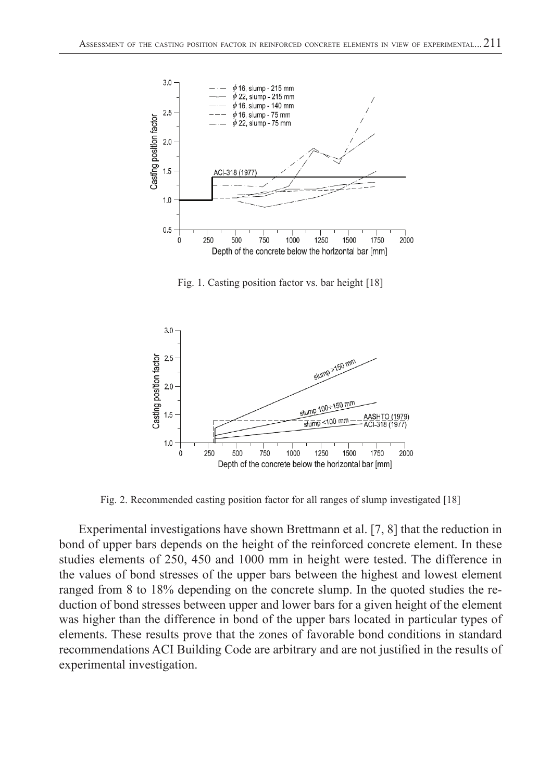

Fig. 1. Casting position factor vs. bar height [18]



Fig. 2. Recommended casting position factor for all ranges of slump investigated [18]

Experimental investigations have shown Brettmann et al. [7, 8] that the reduction in bond of upper bars depends on the height of the reinforced concrete element. In these studies elements of 250, 450 and 1000 mm in height were tested. The difference in the values of bond stresses of the upper bars between the highest and lowest element ranged from 8 to 18% depending on the concrete slump. In the quoted studies the reduction of bond stresses between upper and lower bars for a given height of the element was higher than the difference in bond of the upper bars located in particular types of elements. These results prove that the zones of favorable bond conditions in standard recommendations ACI Building Code are arbitrary and are not justified in the results of experimental investigation.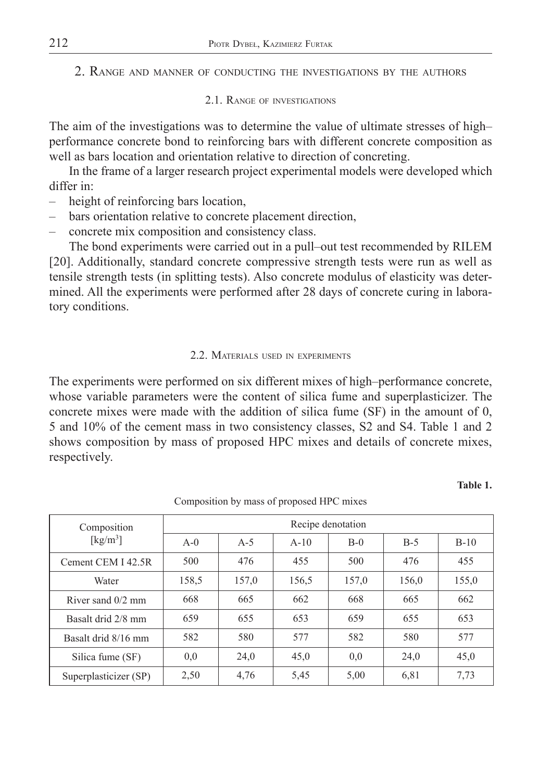2. RANGE AND MANNER OF CONDUCTING THE INVESTIGATIONS BY THE AUTHORS

## 2.1. RANGE OF INVESTIGATIONS

The aim of the investigations was to determine the value of ultimate stresses of high– performance concrete bond to reinforcing bars with different concrete composition as well as bars location and orientation relative to direction of concreting.

In the frame of a larger research project experimental models were developed which differ in:

- height of reinforcing bars location,
- bars orientation relative to concrete placement direction,
- concrete mix composition and consistency class.

The bond experiments were carried out in a pull–out test recommended by RILEM [20]. Additionally, standard concrete compressive strength tests were run as well as tensile strength tests (in splitting tests). Also concrete modulus of elasticity was determined. All the experiments were performed after 28 days of concrete curing in laboratory conditions.

## 2.2. MATERIALS USED IN EXPERIMENTS

The experiments were performed on six different mixes of high–performance concrete, whose variable parameters were the content of silica fume and superplasticizer. The concrete mixes were made with the addition of silica fume (SF) in the amount of 0, 5 and 10% of the cement mass in two consistency classes, S2 and S4. Table 1 and 2 shows composition by mass of proposed HPC mixes and details of concrete mixes, respectively.

### **Table 1.**

| Composition                   | Recipe denotation |       |        |       |       |        |
|-------------------------------|-------------------|-------|--------|-------|-------|--------|
| $\lceil \text{kg/m}^3 \rceil$ | $A-0$             | $A-5$ | $A-10$ | $B-0$ | $B-5$ | $B-10$ |
| Cement CEM I 42.5R            | 500               | 476   | 455    | 500   | 476   | 455    |
| Water                         | 158.5             | 157,0 | 156,5  | 157,0 | 156,0 | 155,0  |
| River sand $0/2$ mm           | 668               | 665   | 662    | 668   | 665   | 662    |
| Basalt drid 2/8 mm            | 659               | 655   | 653    | 659   | 655   | 653    |
| Basalt drid 8/16 mm           | 582               | 580   | 577    | 582   | 580   | 577    |
| Silica fume (SF)              | 0.0               | 24,0  | 45,0   | 0.0   | 24,0  | 45,0   |
| Superplasticizer (SP)         | 2,50              | 4,76  | 5,45   | 5,00  | 6,81  | 7,73   |

Composition by mass of proposed HPC mixes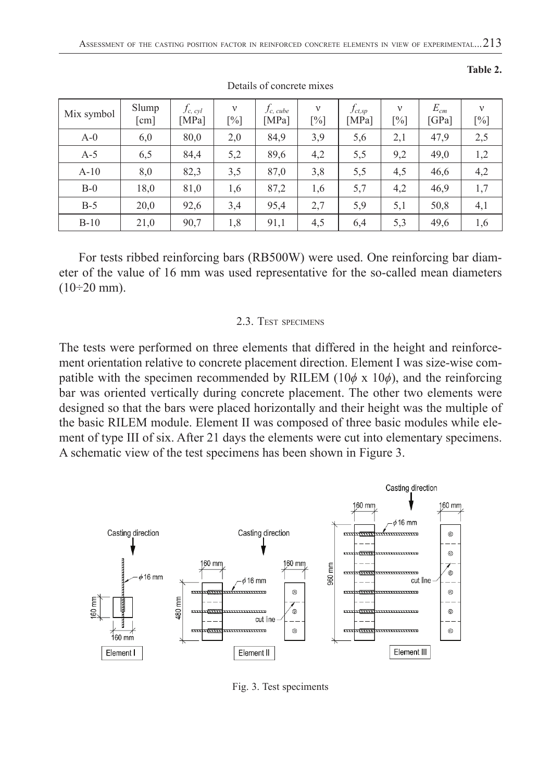| Mix symbol | Slump<br>[cm] | $f_{c,\,cyl}$<br>[MPa] | $\mathbf{V}$<br>$[\%]$ | $f_{c, cube}$<br>[MPa] | $\mathbf{v}$<br>$[\%]$ | $f_{ct,sp}$<br>[MPa] | $\mathbf{v}$<br>$[\%]$ | $E_{cm}$<br>[GPa] | $\mathbf{v}$<br>$[\%]$ |
|------------|---------------|------------------------|------------------------|------------------------|------------------------|----------------------|------------------------|-------------------|------------------------|
| $A-0$      | 6,0           | 80,0                   | 2,0                    | 84,9                   | 3,9                    | 5,6                  | 2,1                    | 47,9              | 2,5                    |
| $A-5$      | 6,5           | 84,4                   | 5,2                    | 89,6                   | 4,2                    | 5,5                  | 9,2                    | 49,0              | 1,2                    |
| $A-10$     | 8,0           | 82,3                   | 3,5                    | 87,0                   | 3,8                    | 5,5                  | 4,5                    | 46,6              | 4,2                    |
| $B-0$      | 18,0          | 81,0                   | 1,6                    | 87,2                   | 1,6                    | 5,7                  | 4,2                    | 46,9              | 1,7                    |
| $B-5$      | 20,0          | 92,6                   | 3,4                    | 95,4                   | 2,7                    | 5,9                  | 5,1                    | 50,8              | 4,1                    |
| $B-10$     | 21,0          | 90,7                   | 1,8                    | 91,1                   | 4,5                    | 6,4                  | 5,3                    | 49,6              | 1,6                    |

Details of concrete mixes

For tests ribbed reinforcing bars (RB500W) were used. One reinforcing bar diameter of the value of 16 mm was used representative for the so-called mean diameters  $(10\div 20 \text{ mm})$ .

### 2.3. TEST SPECIMENS

The tests were performed on three elements that differed in the height and reinforcement orientation relative to concrete placement direction. Element I was size-wise compatible with the specimen recommended by RILEM  $(10\phi \times 10\phi)$ , and the reinforcing bar was oriented vertically during concrete placement. The other two elements were designed so that the bars were placed horizontally and their height was the multiple of the basic RILEM module. Element II was composed of three basic modules while element of type III of six. After 21 days the elements were cut into elementary specimens. A schematic view of the test specimens has been shown in Figure 3.



Fig. 3. Test speciments

#### **Table 2.**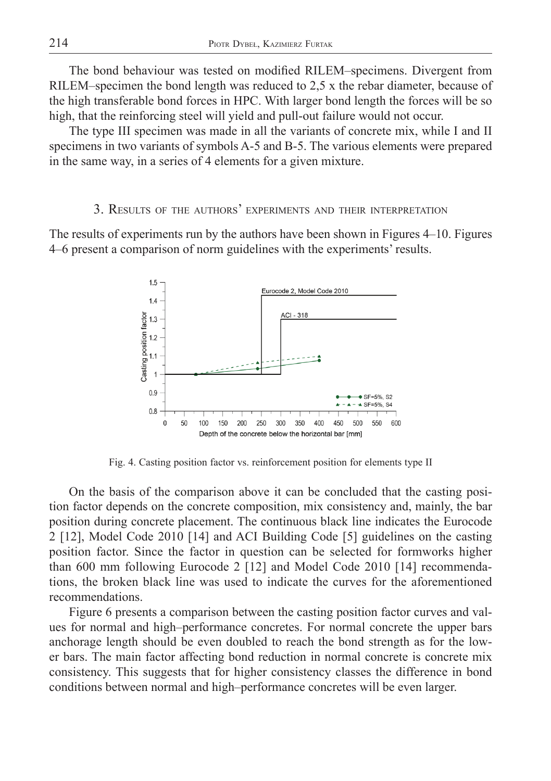The bond behaviour was tested on modified RILEM–specimens. Divergent from RILEM–specimen the bond length was reduced to 2,5 x the rebar diameter, because of the high transferable bond forces in HPC. With larger bond length the forces will be so high, that the reinforcing steel will yield and pull-out failure would not occur.

The type III specimen was made in all the variants of concrete mix, while I and II specimens in two variants of symbols A-5 and B-5. The various elements were prepared in the same way, in a series of 4 elements for a given mixture.

## 3. RESULTS OF THE AUTHORS' EXPERIMENTS AND THEIR INTERPRETATION

The results of experiments run by the authors have been shown in Figures 4–10. Figures 4–6 present a comparison of norm guidelines with the experiments' results.



Fig. 4. Casting position factor vs. reinforcement position for elements type II

On the basis of the comparison above it can be concluded that the casting position factor depends on the concrete composition, mix consistency and, mainly, the bar position during concrete placement. The continuous black line indicates the Eurocode 2 [12], Model Code 2010 [14] and ACI Building Code [5] guidelines on the casting position factor. Since the factor in question can be selected for formworks higher than 600 mm following Eurocode 2 [12] and Model Code 2010 [14] recommendations, the broken black line was used to indicate the curves for the aforementioned recommendations.

Figure 6 presents a comparison between the casting position factor curves and values for normal and high–performance concretes. For normal concrete the upper bars anchorage length should be even doubled to reach the bond strength as for the lower bars. The main factor affecting bond reduction in normal concrete is concrete mix consistency. This suggests that for higher consistency classes the difference in bond conditions between normal and high–performance concretes will be even larger.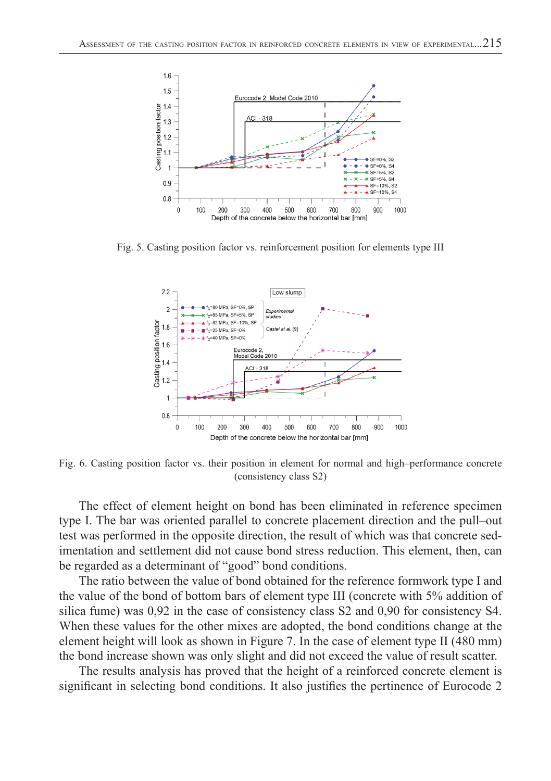

Fig. 5. Casting position factor vs. reinforcement position for elements type III



Fig. 6. Casting position factor vs. their position in element for normal and high–performance concrete (consistency class S2)

The effect of element height on bond has been eliminated in reference specimen type I. The bar was oriented parallel to concrete placement direction and the pull–out test was performed in the opposite direction, the result of which was that concrete sedimentation and settlement did not cause bond stress reduction. This element, then, can be regarded as a determinant of "good" bond conditions.

The ratio between the value of bond obtained for the reference formwork type I and the value of the bond of bottom bars of element type III (concrete with 5% addition of silica fume) was 0,92 in the case of consistency class S2 and 0,90 for consistency S4. When these values for the other mixes are adopted, the bond conditions change at the element height will look as shown in Figure 7. In the case of element type II (480 mm) the bond increase shown was only slight and did not exceed the value of result scatter.

The results analysis has proved that the height of a reinforced concrete element is significant in selecting bond conditions. It also justifies the pertinence of Eurocode 2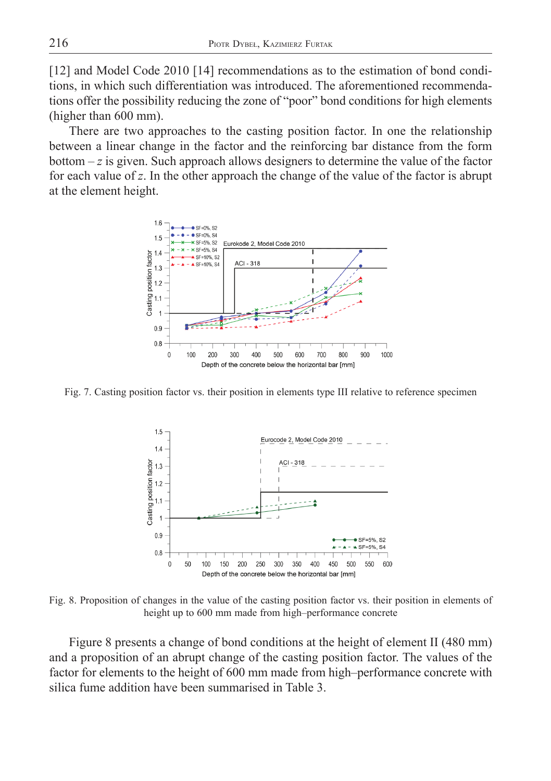[12] and Model Code 2010 [14] recommendations as to the estimation of bond conditions, in which such differentiation was introduced. The aforementioned recommendations offer the possibility reducing the zone of "poor" bond conditions for high elements (higher than 600 mm).

There are two approaches to the casting position factor. In one the relationship between a linear change in the factor and the reinforcing bar distance from the form bottom – *z* is given. Such approach allows designers to determine the value of the factor for each value of *z*. In the other approach the change of the value of the factor is abrupt at the element height.



Fig. 7. Casting position factor vs. their position in elements type III relative to reference specimen



Fig. 8. Proposition of changes in the value of the casting position factor vs. their position in elements of height up to 600 mm made from high–performance concrete

Figure 8 presents a change of bond conditions at the height of element II (480 mm) and a proposition of an abrupt change of the casting position factor. The values of the factor for elements to the height of 600 mm made from high–performance concrete with silica fume addition have been summarised in Table 3.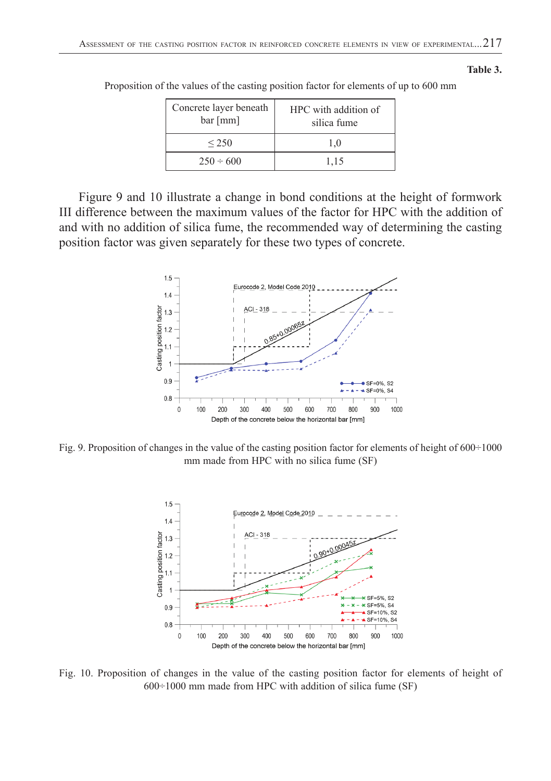| Concrete layer beneath<br>bar[mm] | HPC with addition of<br>silica fume |
|-----------------------------------|-------------------------------------|
| ${}_{250}$                        | 1.0                                 |
| $250 \div 600$                    | 1.15                                |

Proposition of the values of the casting position factor for elements of up to 600 mm

Figure 9 and 10 illustrate a change in bond conditions at the height of formwork III difference between the maximum values of the factor for HPC with the addition of and with no addition of silica fume, the recommended way of determining the casting position factor was given separately for these two types of concrete.



Fig. 9. Proposition of changes in the value of the casting position factor for elements of height of 600÷1000 mm made from HPC with no silica fume (SF)



Fig. 10. Proposition of changes in the value of the casting position factor for elements of height of 600÷1000 mm made from HPC with addition of silica fume (SF)

#### **Table 3.**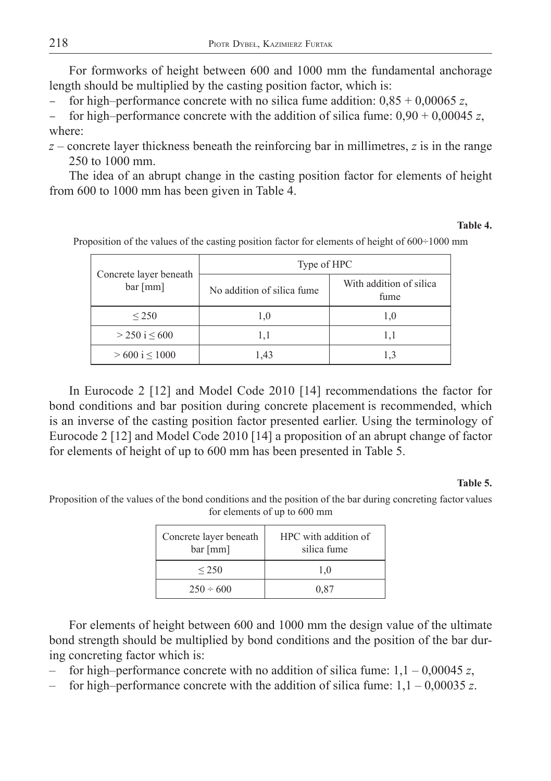For formworks of height between 600 and 1000 mm the fundamental anchorage length should be multiplied by the casting position factor, which is:

for high–performance concrete with no silica fume addition:  $0.85 + 0.00065$  z,

for high–performance concrete with the addition of silica fume:  $0.90 + 0.00045 z$ , where:

*z* – concrete layer thickness beneath the reinforcing bar in millimetres, *z* is in the range 250 to 1000 mm.

The idea of an abrupt change in the casting position factor for elements of height from 600 to 1000 mm has been given in Table 4.

## **Table 4.**

| Concrete layer beneath<br>bar[mm] | Type of HPC                 |                                 |  |  |
|-----------------------------------|-----------------------------|---------------------------------|--|--|
|                                   | No addition of silica fume. | With addition of silica<br>fume |  |  |
| ${}_{\leq}$ 250                   | 1,0                         | 1,0                             |  |  |
| $>$ 250 i $\leq$ 600              | 1,1                         | 1.1                             |  |  |
| $>600$ i $< 1000$                 | 1,43                        | 1.3                             |  |  |

Proposition of the values of the casting position factor for elements of height of 600÷1000 mm

In Eurocode 2 [12] and Model Code 2010 [14] recommendations the factor for bond conditions and bar position during concrete placement is recommended, which is an inverse of the casting position factor presented earlier. Using the terminology of Eurocode 2 [12] and Model Code 2010 [14] a proposition of an abrupt change of factor for elements of height of up to 600 mm has been presented in Table 5.

### **Table 5.**

Proposition of the values of the bond conditions and the position of the bar during concreting factor values for elements of up to 600 mm

| Concrete layer beneath<br>bar[mm] | HPC with addition of<br>silica fume |
|-----------------------------------|-------------------------------------|
| ${}_{250}$                        | 1.0                                 |
| $250 \div 600$                    | 0.87                                |

For elements of height between 600 and 1000 mm the design value of the ultimate bond strength should be multiplied by bond conditions and the position of the bar during concreting factor which is:

for high–performance concrete with no addition of silica fume:  $1,1 - 0,00045 z$ ,

– for high–performance concrete with the addition of silica fume: 1,1 – 0,00035 *z*.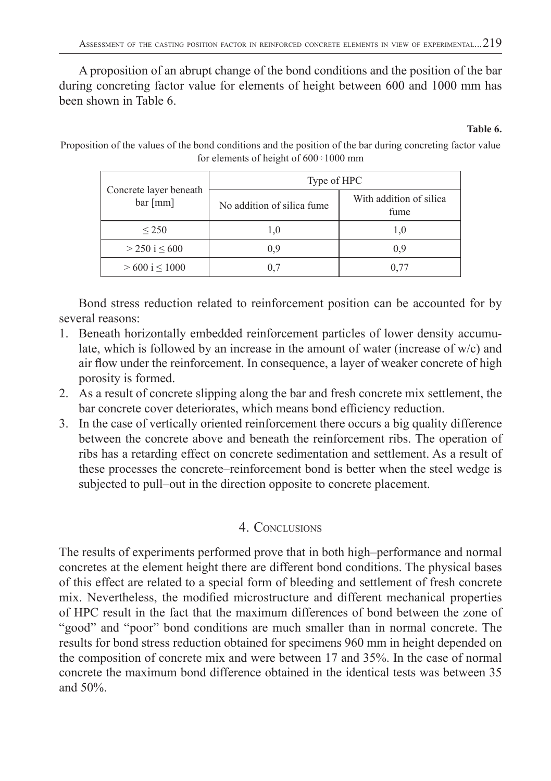A proposition of an abrupt change of the bond conditions and the position of the bar during concreting factor value for elements of height between 600 and 1000 mm has been shown in Table 6.

### **Table 6.**

Proposition of the values of the bond conditions and the position of the bar during concreting factor value for elements of height of 600÷1000 mm

| Concrete layer beneath<br>bar[mm] | Type of HPC                 |                                 |  |  |
|-----------------------------------|-----------------------------|---------------------------------|--|--|
|                                   | No addition of silica fume. | With addition of silica<br>fume |  |  |
| ${}_{250}$                        | 1.0                         | 1,0                             |  |  |
| $>$ 250 i $\leq$ 600              | 0.9                         | 0.9                             |  |  |
| $> 600$ i $< 1000$                | 07                          | 0.77                            |  |  |

Bond stress reduction related to reinforcement position can be accounted for by several reasons:

- 1. Beneath horizontally embedded reinforcement particles of lower density accumulate, which is followed by an increase in the amount of water (increase of  $w/c$ ) and air flow under the reinforcement. In consequence, a layer of weaker concrete of high porosity is formed.
- 2. As a result of concrete slipping along the bar and fresh concrete mix settlement, the bar concrete cover deteriorates, which means bond efficiency reduction.
- 3. In the case of vertically oriented reinforcement there occurs a big quality difference between the concrete above and beneath the reinforcement ribs. The operation of ribs has a retarding effect on concrete sedimentation and settlement. As a result of these processes the concrete–reinforcement bond is better when the steel wedge is subjected to pull–out in the direction opposite to concrete placement.

# 4. CONCLUSIONS

The results of experiments performed prove that in both high–performance and normal concretes at the element height there are different bond conditions. The physical bases of this effect are related to a special form of bleeding and settlement of fresh concrete mix. Nevertheless, the modified microstructure and different mechanical properties of HPC result in the fact that the maximum differences of bond between the zone of "good" and "poor" bond conditions are much smaller than in normal concrete. The results for bond stress reduction obtained for specimens 960 mm in height depended on the composition of concrete mix and were between 17 and 35%. In the case of normal concrete the maximum bond difference obtained in the identical tests was between 35 and 50%.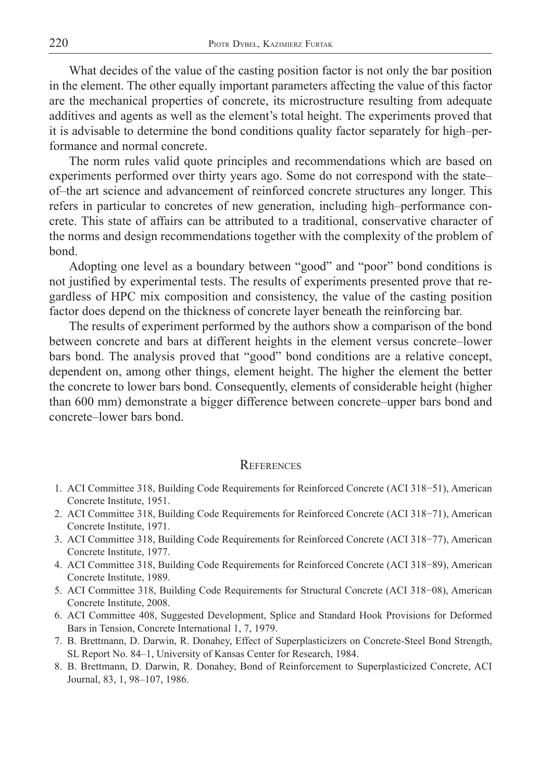What decides of the value of the casting position factor is not only the bar position in the element. The other equally important parameters affecting the value of this factor are the mechanical properties of concrete, its microstructure resulting from adequate additives and agents as well as the element's total height. The experiments proved that it is advisable to determine the bond conditions quality factor separately for high–performance and normal concrete.

The norm rules valid quote principles and recommendations which are based on experiments performed over thirty years ago. Some do not correspond with the state– of–the art science and advancement of reinforced concrete structures any longer. This refers in particular to concretes of new generation, including high–performance concrete. This state of affairs can be attributed to a traditional, conservative character of the norms and design recommendations together with the complexity of the problem of bond.

Adopting one level as a boundary between "good" and "poor" bond conditions is not justified by experimental tests. The results of experiments presented prove that regardless of HPC mix composition and consistency, the value of the casting position factor does depend on the thickness of concrete layer beneath the reinforcing bar.

The results of experiment performed by the authors show a comparison of the bond between concrete and bars at different heights in the element versus concrete–lower bars bond. The analysis proved that "good" bond conditions are a relative concept, dependent on, among other things, element height. The higher the element the better the concrete to lower bars bond. Consequently, elements of considerable height (higher than 600 mm) demonstrate a bigger difference between concrete–upper bars bond and concrete–lower bars bond.

## **REFERENCES**

- 1. ACI Committee 318, Building Code Requirements for Reinforced Concrete (ACI 318–51), American Concrete Institute, 1951.
- 2. ACI Committee 318, Building Code Requirements for Reinforced Concrete (ACI 318−71), American Concrete Institute, 1971.
- 3. ACI Committee 318, Building Code Requirements for Reinforced Concrete (ACI 318−77), American Concrete Institute, 1977.
- 4. ACI Committee 318, Building Code Requirements for Reinforced Concrete (ACI 318−89), American Concrete Institute, 1989.
- 5. ACI Committee 318, Building Code Requirements for Structural Concrete (ACI 318−08), American Concrete Institute, 2008.
- 6. ACI Committee 408, Suggested Development, Splice and Standard Hook Provisions for Deformed Bars in Tension, Concrete International 1, 7, 1979.
- 7. B. Brettmann, D. Darwin, R. Donahey, Effect of Superplasticizers on Concrete-Steel Bond Strength, SL Report No. 84–1, University of Kansas Center for Research, 1984.
- 8. B. Brettmann, D. Darwin, R. Donahey, Bond of Reinforcement to Superplasticized Concrete, ACI Journal, 83, 1, 98–107, 1986.